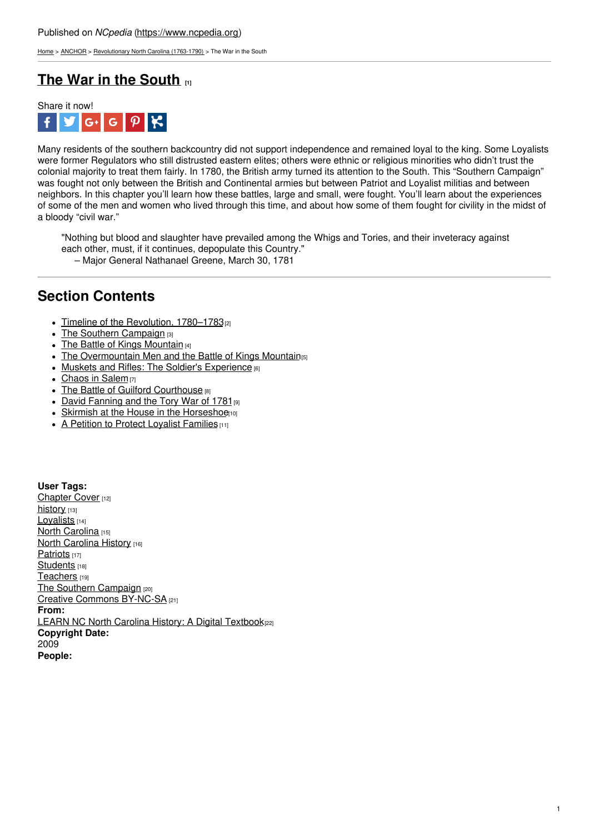[Home](https://www.ncpedia.org/) > [ANCHOR](https://www.ncpedia.org/anchor/anchor) > [Revolutionary](https://www.ncpedia.org/anchor/revolutionary-north-carolina) North Carolina (1763-1790) > The War in the South

# **The War in the [South](https://www.ncpedia.org/anchor/war-south) [1]**



Many residents of the southern backcountry did not support independence and remained loyal to the king. Some Loyalists were former Regulators who still distrusted eastern elites; others were ethnic or religious minorities who didn't trust the colonial majority to treat them fairly. In 1780, the British army turned its attention to the South. This "Southern Campaign" was fought not only between the British and Continental armies but between Patriot and Loyalist militias and between neighbors. In this chapter you'll learn how these battles, large and small, were fought. You'll learn about the experiences of some of the men and women who lived through this time, and about how some of them fought for civility in the midst of a bloody "civil war."

"Nothing but blood and slaughter have prevailed among the Whigs and Tories, and their inveteracy against each other, must, if it continues, depopulate this Country." – Major General Nathanael [Greene,](http://www.social9.com) March 30, 1781

## **Section Contents**

- Timeline of the [Revolution,](https://www.ncpedia.org/anchor/timeline-revolution-1780) 1780-1783<sup>[2]</sup>
- The Southern [Campaign](https://www.ncpedia.org/anchor/southern-campaign) [3]
- The Battle of Kings [Mountain](https://www.ncpedia.org/anchor/battle-kings-mountain)  $[4]$
- The [Overmountain](https://www.ncpedia.org/anchor/overmountain-men-and-battle) Men and the Battle of Kings Mountain<sub>[5]</sub>
- Muskets and Rifles: The Soldier's [Experience](https://www.ncpedia.org/anchor/muskets-and-rifles-soldiers) [6]
- [Chaos](https://www.ncpedia.org/anchor/chaos-salem) in Salem [7]
- The Battle of Guilford [Courthouse](https://www.ncpedia.org/anchor/battle-guilford-courthouse) [8]
- David [Fanning](https://www.ncpedia.org/anchor/david-fanning-and-tory-war) and the Tory War of 1781 [9]
- Skirmish at the House in the [Horseshoe](https://www.ncpedia.org/anchor/skirmish-house-horseshoe)[10]
- A Petition to Protect Loyalist [Families](https://www.ncpedia.org/anchor/petition-protect-loyalist) [11]

**User Tags:** [Chapter](https://www.ncpedia.org/category/user-tags/chapter-cover) Cover [12] [history](https://www.ncpedia.org/category/user-tags/history) [13] Lovalists [14] North [Carolina](https://www.ncpedia.org/category/user-tags/north-carolina-5) [15] **North [Carolina](https://www.ncpedia.org/category/user-tags/north-carolina-6) History [16]** [Patriots](https://www.ncpedia.org/category/user-tags/patriots) [17] [Students](https://www.ncpedia.org/category/user-tags/students) [18] [Teachers](https://www.ncpedia.org/category/user-tags/teachers) [19] The Southern [Campaign](https://www.ncpedia.org/category/user-tags/southern) [20] Creative Commons [BY-NC-SA](https://www.ncpedia.org/category/user-tags/creative-commons) [21] **From:** LEARN NC North Carolina History: A Digital [Textbook](https://www.ncpedia.org/category/entry-source/learn-nc)[22] **Copyright Date:** 2009 **People:**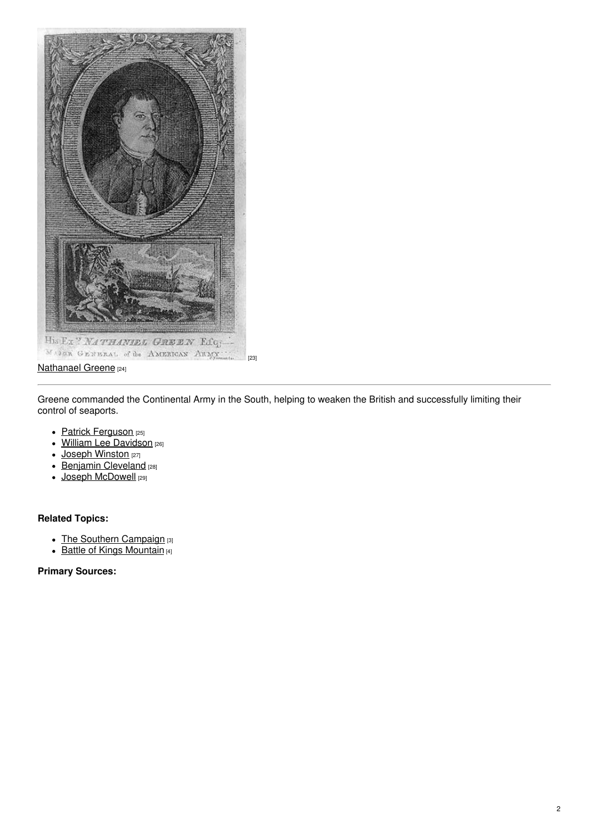

### [Nathanael](https://www.ushistory.org/valleyforge/served/greene.html) Greene [24]

Greene commanded the Continental Army in the South, helping to weaken the British and successfully limiting their control of seaports.

- Patrick [Ferguson](http://ncmarkers.com/Markers.aspx?MarkerId=O-13) [25]
- William Lee [Davidson](http://ncmarkers.com/Markers.aspx?MarkerId=L-23) [26]
- Joseph [Winston](http://ncmarkers.com/Markers.aspx?MarkerId=J-39) [27]  $\bullet$
- Benjamin [Cleveland](http://ncmarkers.com/Markers.aspx?MarkerId=M-30) [28]
- Joseph [McDowell](http://ncmarkers.com/Markers.aspx?MarkerId=N-4) [29]

### **Related Topics:**

- The Southern [Campaign](https://www.ncpedia.org/anchor/southern-campaign) [3]
- Battle of Kings [Mountain](https://www.ncpedia.org/anchor/battle-kings-mountain) [4]

### **Primary Sources:**